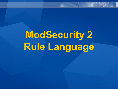# **ModSecurity 2 Rule Language**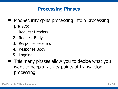# **Processing Phases**

- ModSecurity splits processing into 5 processing phases:
	- 1. Request Headers
	- 2. Request Body
	- 3. Response Headers
	- 4. Response Body
	- 5. Logging
- **This many phases allow you to decide what you** want to happen at key points of transaction processing.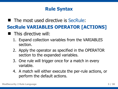# **Rule Syntax**

■ The most used directive is SecRule:

# **SecRule VARIABLES OPERATOR [ACTIONS]**

- **This directive will:** 
	- 1. Expand collection variables from the VARIABLES section.
	- 2. Apply the operator as specified in the OPERATOR section to the expanded variables.
	- 3. One rule will trigger once for a match in every variable.
	- 4. A match will either execute the per-rule actions, or perform the default actions.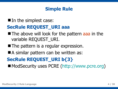#### **Simple Rule**

#### In the simplest case:

#### **SecRule REQUEST\_URI aaa**

- The above will look for the pattern aaa in the variable REQUEST\_URI.
- **The pattern is a regular expression.**
- A similar pattern can be written as:

# **SecRule REQUEST\_URI b{3}**

■ ModSecurity uses PCRE ([http://www.pcre.org\)](http://www.pcre.org/)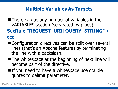#### **Multiple Variables As Targets**

 $\blacksquare$  There can be any number of variables in the VARIABLES section (separated by pipes):

#### **SecRule "REQUEST\_URI|QUERY\_STRING" \ ccc**

- Configuration directives can be split over several lines (that's an Apache feature) by terminating the line with a backslash.
- The whitespace at the beginning of next line will become part of the directive.
- $\blacksquare$  If you need to have a whitespace use double quotes to delimit parameter.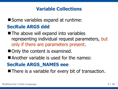# **Variable Collections**

# Some variables expand at runtime: **SecRule ARGS ddd**

- **The above will expand into variables** representing individual request parameters, but only if there are parameters present.
- Only the content is examined.
- Another variable is used for the names:

# **SecRule ARGS\_NAMES eee**

**There is a variable for every bit of transaction.**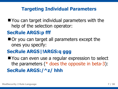#### **Targeting Individual Parameters**

You can target individual parameters with the help of the selection operator:

# **SecRule ARGS:p fff**

Or you can target all parameters except the ones you specify:

# **SecRule ARGS|!ARGS:q ggg**

You can even use a regular expression to select the parameters (\* does the opposite in beta-3): **SecRule ARGS:/^z/ hhh**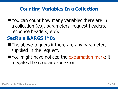# **Counting Variables In a Collection**

■ You can count how many variables there are in a collection (e.g. parameters, request headers, response headers, etc):

# **SecRule &ARGS !^0\$**

- $\blacksquare$  The above triggers if there are any parameters supplied in the request.
- You might have noticed the exclamation mark; it negates the regular expression.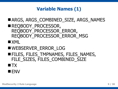# **Variable Names (1)**

- ARGS, ARGS COMBINED SIZE, ARGS NAMES
- REQBODY PROCESSOR, REQBODY\_PROCESSOR\_ERROR, REQBODY\_PROCESSOR\_ERROR\_MSG
- $\blacksquare$  XML
- WEBSERVER ERROR LOG
- **FILES, FILES\_TMPNAMES, FILES\_NAMES,** FILE SIZES, FILES COMBINED SIZE
- $\blacksquare$  TX
- **ENV**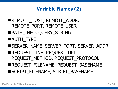PATH\_INFO, QUERY\_STRING **AUTH TYPE** SERVER\_NAME, SERVER\_PORT, SERVER\_ADDR REQUEST LINE, REQUEST URI, REQUEST\_METHOD, REQUEST\_PROTOCOL REQUEST FILENAME, REQUEST BASENAME SCRIPT\_FILENAME, SCRIPT\_BASENAME



REMOTE HOST, REMOTE ADDR,

REMOTE PORT, REMOTE USER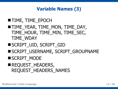# **Variable Names (3)**

- **TIME, TIME EPOCH TIME YEAR, TIME MON, TIME DAY,** TIME\_HOUR, TIME\_MIN, TIME\_SEC, TIME\_WDAY
- SCRIPT\_UID, SCRIPT\_GID
- SCRIPT\_USERNAME, SCRIPT\_GROUPNAME
- SCRIPT\_MODE
- REQUEST HEADERS, REQUEST\_HEADERS\_NAMES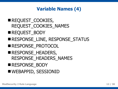- WEBAPPID, SESSIONID
- RESPONSE\_BODY
- RESPONSE HEADERS, RESPONSE HEADERS NAMES
- RESPONSE PROTOCOL
- RESPONSE LINE, RESPONSE STATUS
- REQUEST BODY
- REQUEST COOKIES, REQUEST\_COOKIES\_NAMES

# **Variable Names (4)**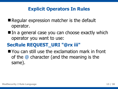# **Explicit Operators In Rules**

- Regular expression matcher is the default operator.
- In a general case you can choose exactly which operator you want to use:

# **SecRule REQUEST\_URI "@rx iii"**

**Nou can still use the exclamation mark in front** of the @ character (and the meaning is the same).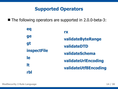#### **Supported Operators**

■ The following operators are supported in 2.0.0-beta-3:

| eq                 | <b>IY</b>                                                                                         |
|--------------------|---------------------------------------------------------------------------------------------------|
| ge                 | validateByteRange<br>validateDTD<br>validateSchema<br>validateUrlEncoding<br>validateUtf8Encoding |
| gt                 |                                                                                                   |
| <b>inspectFile</b> |                                                                                                   |
| le                 |                                                                                                   |
| lt                 |                                                                                                   |
| rbl                |                                                                                                   |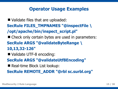#### **Operator Usage Examples**

■ Validate files that are uploaded: **SecRule FILES\_TMPNAMES "@inspectFile \ /opt/apache/bin/inspect\_script.pl"** ■ Check only certain bytes are used in parameters: **SecRule ARGS "@validateByteRange \ 10,13,32-126"** ■ Validate UTF-8 encoding: **SecRule ARGS "@validateUtf8Encoding"** ■ Real-time Block List lookup: **SecRule REMOTE\_ADDR "@rbl sc.surbl.org"**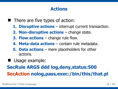#### **Actions**

- $\blacksquare$  There are five types of action:
	- **1. Disruptive actions** interrupt current transaction.
	- **2. Non-disruptive actions** change state.
	- **3. Flow actions** change rule flow.
	- **4. Meta-data actions** contain rule metadata.
	- **5. Data actions** mere placeholders for other actions.
- Usage example:

# **SecRule ARGS ddd log,deny,status:500 SecAction nolog,pass,exec:/bin/this/that.pl**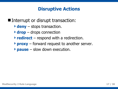# **Disruptive Actions**

■ Interrupt or disrupt transaction:

- **deny** stops transaction.
- **drop** drops connection
- **redirect** respond with a redirection.
- **Proxy** forward request to another server.
- **pause** slow down execution.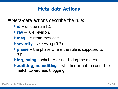#### **Meta-data Actions**

■ Meta-data actions describe the rule:

- **id** unique rule ID.
- **rev** rule revision.
- **msg** custom message.
- **Severity** as syslog  $(0-7)$ .
- **phase** the phase where the rule is supposed to run.
- **log, nolog** whether or not to log the match.
- **auditlog**, **noauditlog** whether or not to count the match toward audit logging.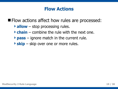#### **Flow Actions**

**Filow actions affect how rules are processed:** 

- **allow** stop processing rules.
- **chain** combine the rule with the next one.
- **pass** ignore match in the current rule.
- **skip** skip over one or more rules.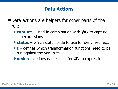#### **Data Actions**

- Data actions are helpers for other parts of the rule:
	- **capture** used in combination with @rx to capture subexpressions.
	- **status** which status code to use for deny, redirect.
	- **t** defines which transformation functions need to be run against the variables.
	- **xmlns** defines namespace for XPath expressions.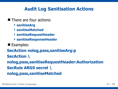# **Audit Log Sanitisation Actions**

**There are four actions:** 

- **sanitiseArg**
- **sanitiseMatched**
- **sanitiseRequestHeader**
- **sanitiseResponseHeader**
- **Examples:**

**SecAction nolog,pass,sanitiseArg:p SecAction \ nolog,pass,sanitiseRequestHeader:Authorization SecRule ARGS secret \ nolog,pass,sanitiseMatched**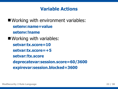#### **Variable Actions**

■ Working with environment variables: **setenv:name=value setenv:!name** ■ Working with variables: **setvar:tx.score=10 setvar:tx.score=+5 setvar:!tx.score deprecatevar:session.score=60/3600 expirevar:session.blocked=3600**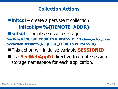# **Collection Actions**

**lacks** initcol – create a persistent collection: **initcol:ip=%{REMOTE\_ADDR} setsid** – initialise session storage: **SecRule REQUEST\_COOKIES:PHPSESSID !^\$ chain,nolog,pass SecAction setsid:%{REQUEST\_COOKIES.PHPSESSID}** This action will initialise variable **SESSIONID**. ■ Use **SecWebAppId** directive to create session

storage namespace for each application.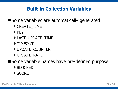# **Built-in Collection Variables**

Some variables are automatically generated:

- ▶ CREATE\_TIME
- ▶ KEY
- LAST\_UPDATE\_TIME
- ▶ TIMEOUT
- DUPDATE\_COUNTER
- UPDATE\_RATE

Some variable names have pre-defined purpose:

- BLOCKED
- SCORE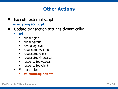### **Other Actions**

#### Execute external script: **exec:/bin/script.pl**

- Update transaction settings dynamically:
	- **ctl**
		- **EXECUTE** auditEngine
		- **auditLogParts**
		- **-** debugLogLevel
		- **•** requestBodyAccess
		- **•** requestBodyLimit
		- **F** requestBodyProcessor
		- **•** responseBodyAccess
		- responseBodyLimit
	- ▶ For example:
		- **ctl:auditEngine=off**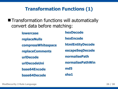# **Transformation Functions (1)**

**The Transformation functions will automatically** convert data before matching:

> **hexDecode hexEncode htmlEntityDecode escapeSeqDecode normalisePath normalisePathWin md5 sha1 lowercase replaceNulls compressWhitespace replaceComments urlDecode urlDecodeUni base64Encode base64Decode**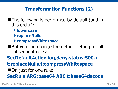# **Transformation Functions (2)**

- The following is performed by default (and in this order):
	- **lowercase**
	- **replaceNulls**
	- **compressWhitespace**
- But you can change the default setting for all subsequent rules:

**SecDefaultAction log,deny,status:500,\ t:replaceNulls,t:compressWhitespace** ■ Or, just for one rule: **SecRule ARG:base64 ABC t:base64decode**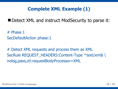# **Complete XML Example (1)**

Detect XML and instruct ModSecurity to parse it:

# Phase 1 SecDefaultAction phase:1

# Detect XML requests and process them as XML SecRule REQUEST HEADERS: Content-Type ^text/xml\$ \ nolog,pass,ctl:requestBodyProcessor=XML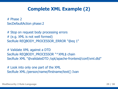# **Complete XML Example (2)**

# Phase 2 SecDefaultAction phase:2

# Stop on request body processing errors # (e.g. XML is not well formed) SecRule REQBODY\_PROCESSOR\_ERROR "@eq 1"

# Validate XML against a DTD SecRule REQBODY\_PROCESSOR "^XML\$ chain SecRule XML "@validateDTD /opt/apache-frontend/conf/xml.dtd"

# Look into only one part of the XML SecRule XML:/person/name/firstname/text() Ivan